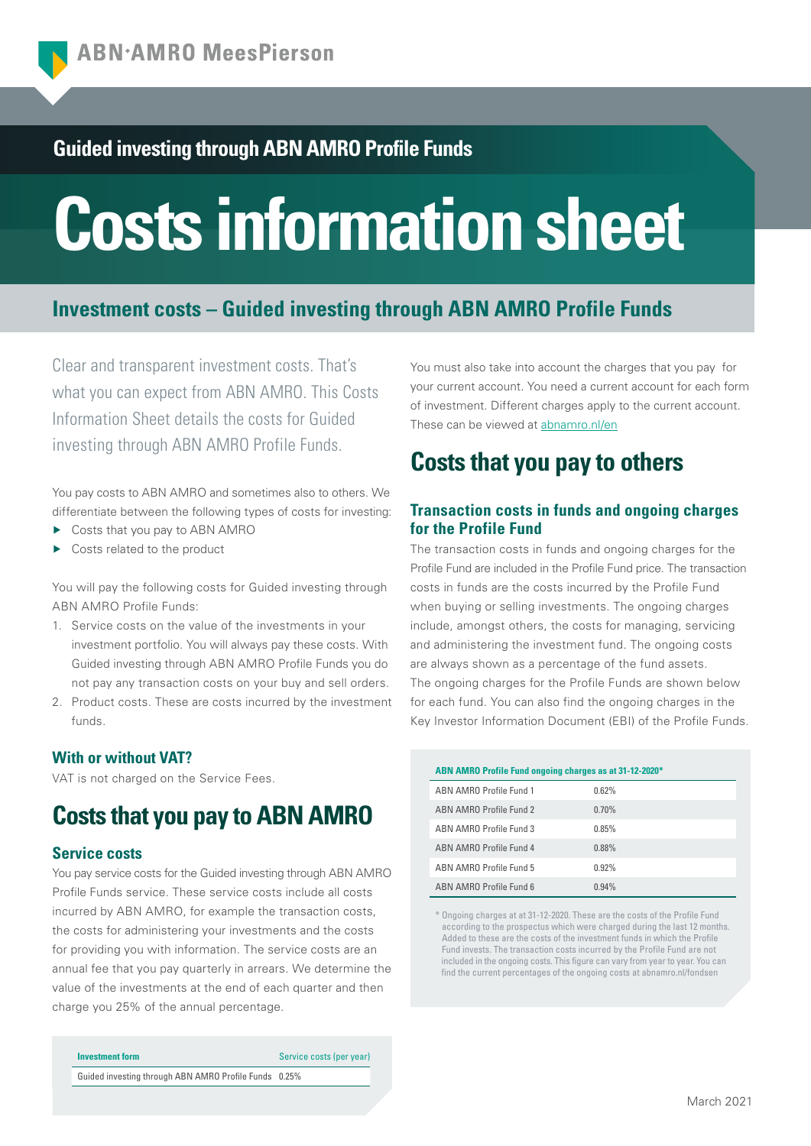## **Guided investing through ABN AMRO Profile Funds**

# **Costs information sheet**

## **Investment costs – Guided investing through ABN AMRO Profile Funds**

Clear and transparent investment costs. That's what you can expect from ABN AMRO. This Costs Information Sheet details the costs for Guided investing through ABN AMRO Profile Funds.

You pay costs to ABN AMRO and sometimes also to others. We differentiate between the following types of costs for investing:

- Costs that you pay to ABN AMRO
- Costs related to the product

You will pay the following costs for Guided investing through ABN AMRO Profile Funds:

- 1. Service costs on the value of the investments in your investment portfolio. You will always pay these costs. With Guided investing through ABN AMRO Profile Funds you do not pay any transaction costs on your buy and sell orders.
- 2. Product costs. These are costs incurred by the investment funds.

### **With or without VAT?**

VAT is not charged on the Service Fees.

# **Costs that you pay to ABN AMRO**

#### **Service costs**

You pay service costs for the Guided investing through ABN AMRO Profile Funds service. These service costs include all costs incurred by ABN AMRO, for example the transaction costs, the costs for administering your investments and the costs for providing you with information. The service costs are an annual fee that you pay quarterly in arrears. We determine the value of the investments at the end of each quarter and then charge you 25% of the annual percentage.

| Investment form                                       | Service costs (per year) |
|-------------------------------------------------------|--------------------------|
| Guided investing through ABN AMRO Profile Funds 0.25% |                          |

You must also take into account the charges that you pay for your current account. You need a current account for each form of investment. Different charges apply to the current account. These can be viewed at abnamro.nl/en

# **Costs that you pay to others**

## **Transaction costs in funds and ongoing charges for the Profile Fund**

The transaction costs in funds and ongoing charges for the Profile Fund are included in the Profile Fund price. The transaction costs in funds are the costs incurred by the Profile Fund when buying or selling investments. The ongoing charges include, amongst others, the costs for managing, servicing and administering the investment fund. The ongoing costs are always shown as a percentage of the fund assets. The ongoing charges for the Profile Funds are shown below for each fund. You can also find the ongoing charges in the Key Investor Information Document (EBI) of the Profile Funds.

| ABN AMRO Profile Fund ongoing charges as at 31-12-2020* |       |  |
|---------------------------------------------------------|-------|--|
| ARN AMRO Profile Fund 1                                 | 0.62% |  |
| ABN AMRO Profile Fund 2                                 | 0.70% |  |
| ARN AMRO Profile Fund 3                                 | 0.85% |  |
| ABN AMRO Profile Fund 4                                 | 0.88% |  |
| ARN AMRO Profile Fund 5                                 | 0.92% |  |
| ARN AMRO Profile Fund 6                                 | 0.94% |  |

\* Ongoing charges at at 31-12-2020. These are the costs of the Profile Fund according to the prospectus which were charged during the last 12 months. Added to these are the costs of the investment funds in which the Profile Fund invests. The transaction costs incurred by the Profile Fund are not included in the ongoing costs. This figure can vary from year to year. You can find the current percentages of the ongoing costs at abnamro.nl/fondsen